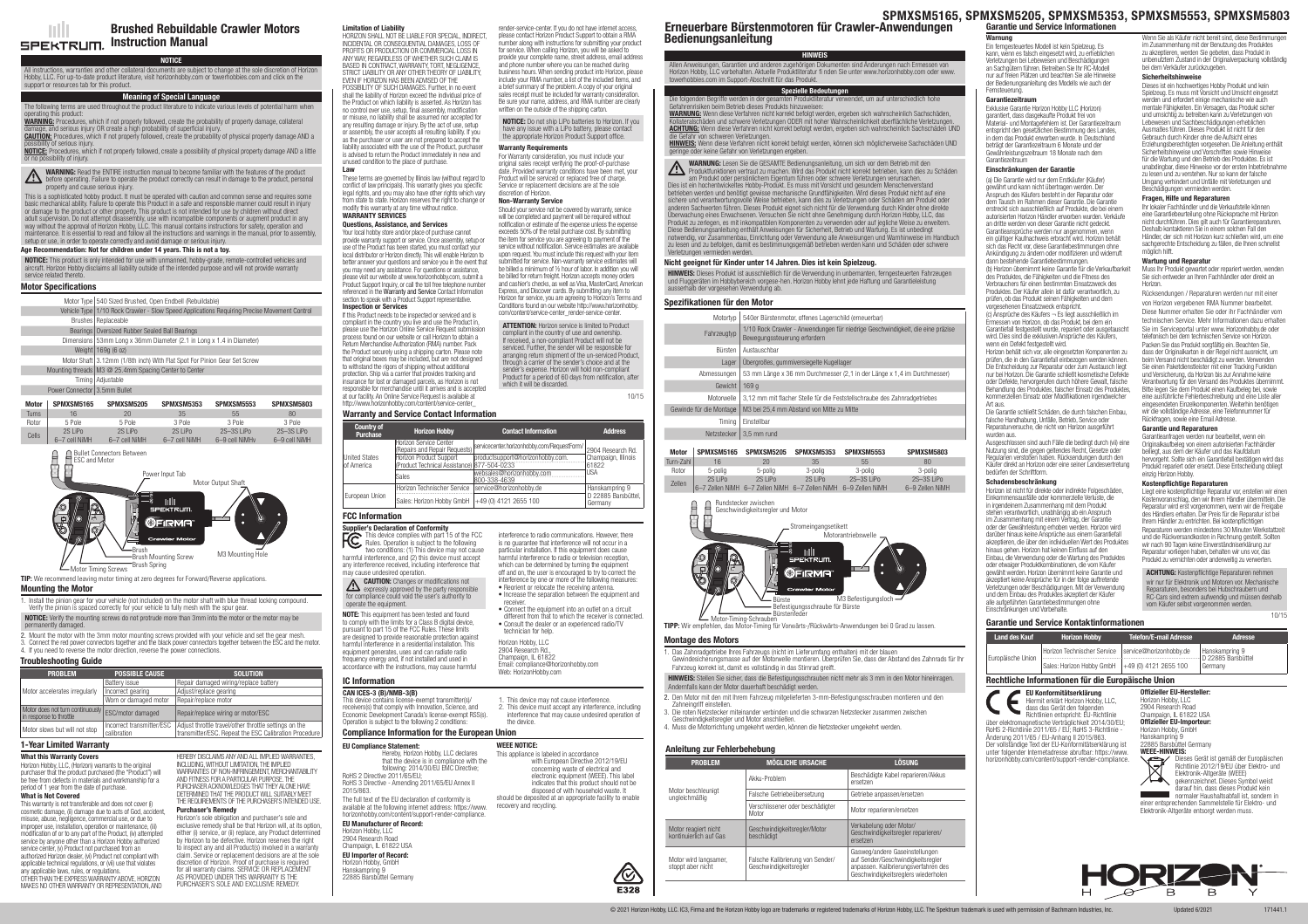NOTICE: This product is only intended for use with unmanned, hobby-grade, remote-controlled vehicles and aircraft. Horizon Hobby disclaims all liability outside of the intended purpose and will not provide warranty service related thereto.

### Age Recommendation: Not for children under 14 years. This is not a toy.

Ints are subject to change at the sole discretion of Horizon Hobby, LLC. For up-to-date product literature, visit horizonhobby.com or towerhobbies.com and click on the support or resources tab for this product.

# NOTICE

# Meaning of Special Language

#### WARNING: Read the ENTIRE instruction manual to become familiar with the features of the product **WARNING:** Head the ENTIFIC Instruction manual to become rammar with the because of the product, personal before operating. Failure to operate the product correctly can result in damage to the product, personal property and cause serious injury.

The following terms are used throughout the product literature to indicate various levels of potential harm when his product WARNING: Procedures, which if not properly followed, create the probability of property damage, collateral damage, and serious injury OR create a high probability of superficial injury.

**CAUTION:** Procedures, which if not properly followed, create the probability of physical property damage AND a possibility of serious injury. **NOTICE:** Procedures, which if not properly followed, create a possibility of physical property damage AND a little

Vehicle Type 1/10 Rock Crawler - Slow Speed Applications Requiring Precise Movement Control Brushes Replaceable

- Bearings Oversized Rubber Sealed Ball Bearings
- Dimensions 53mm Long x 36mm Diameter (2.1 in Long x 1.4 in Diameter)
- Weight  $169g (6 oz)$
- Motor Shaft 3.12mm (1/8th inch) With Flat Spot For Pinion Gear Set Screw
- Mounting threads M3 @ 25.4mm Spacing Center to Center Timing Adjustable
- **Power Connector 3.5mm Bullet**

or no possibility of injury.

This is a sophisticated hobby product. It must be operated with caution and common sense and requires some basic mechanical ability. Failure to operate this Product in a safe and responsible manner could result in injury or damage to the product or other property. This product is not intended for use by children without direct adult supervision. Do not attempt disassembly, use with incompatible components or augment product in any way without the approval of Horizon Hobby, LLC. This manual contains instructions for safety, operation and maintenance. It is essential to read and follow all the instructions and warnings in the manual, prior to assembly, setup or use, in order to operate correctly and avoid damage or serious injury.

# Brushed Rebuildable Crawler Motors SPEKTRUM. Instruction Manual

Motor Timing Screws Brush Spring



This warranty is not transferable and does not cover (i) cosmetic damage, (ii) damage due to acts of God, accident, misuse, abuse, negligence, commercial use, or due to improper use, installation, operation or maintenance, (iii) modification of or to any part of the Product, (iv) attempted service by anyone other than a Horizon Hobby authorized service center, (v) Product not purchased from an authorized Horizon dealer, (vi) Product not compliant with applicable technical requisitions, or (vii) use that violates

**TIP:** We recommend leaving motor timing at zero degrees for Forward/Reverse applications.

#### Motor Specifications

Motor Type 540 Sized Brushed, Open Endbell (Rebuildable)

HEREBY DISCLAIMS ANY AND ALL IMPLIED WARRANTIES, INCLUDING, WITHOUT LIMITATION, THE IMPLIED WARRANTIES OF NON-INFRINGEMENT, MERCHANTABILITY AND FITNESS FOR A PARTICULAR PURPOSE. THE PURCHASER ACKNOWLEDGES THAT THEY ALONE HAVE DETERMINED THAT THE PRODUCT WILL SUITABLY MEET THE REQUIREMENTS OF THE PURCHASER'S INTENDED USE.

### Mounting the Motor

Supplier's Declaration of Conformity This device complies with part 15 of the FCC This device complies with part 15 of the FC<br>Rules. Operation is subject to the following two conditions: (1) This device may not cause harmful interference, and (2) this device must accept any interference received, including interference that may cause undesired operation.

- 1. Install the pinion gear for your vehicle (not included) on the motor shaft with blue thread locking compound. Verify the pinion is spaced correctly for your vehicle to fully mesh with the spur gear.
- NOTICE: Verify the mounting screws do not protrude more than 3mm into the motor or the motor may be permanently damaged.
- 2. Mount the motor with the 3mm motor mounting screws provided with your vehicle and set the gear mesh.
- 3. Connect the red power connectors together and the black power connectors together between the ESC and the motor. 4. If you need to reverse the motor direction, reverse the power connections.

**CAUTION:** Changes or modifications not **CAUTION:** Changes or modification expressive approved by the party responsible for compliance could void the user's authority to operate the equipment.

| <b>Motor</b> | SPMXSM5165               | SPMXSM5205                | SPMXSM5353                  | SPMXSM5553                     | SPMXSM5803                    |
|--------------|--------------------------|---------------------------|-----------------------------|--------------------------------|-------------------------------|
| Turns        | 16                       | 20                        | 35                          | 55                             | 80                            |
| Rotor        | 5 Pole                   | 5 Pole                    | 3 Pole                      | 3 Pole                         | 3 Pole                        |
| Cells        | 2S LiPo<br>6-7 cell NiMH | 2S LiPo<br>6-7 cell NiMH  | $2S$   iPo<br>6-7 cell NiMH | $2S-3S$ LiPo<br>6-9 cell NiMHv | $2S-3S$ LiPo<br>6-9 cell NiMH |
|              | <b>ESC and Motor</b>     | Bullet Connectors Between |                             |                                |                               |

#### Troubleshooting Guide

| <b>PROBLEM</b>                                                                | <b>POSSIBLE CAUSE</b>                    | <b>SOLUTION</b>                                                                                                |  |
|-------------------------------------------------------------------------------|------------------------------------------|----------------------------------------------------------------------------------------------------------------|--|
|                                                                               | <b>Battery issue</b>                     | Repair damaged wiring/replace battery                                                                          |  |
| Motor accelerates irregularly                                                 | Incorrect gearing                        | Adjust/replace gearing                                                                                         |  |
|                                                                               | Worn or damaged motor                    | Repair/replace motor                                                                                           |  |
| Motor does not turn continuously ESC/motor damaged<br>in response to throttle |                                          | Repair/replace wiring or motor/ESC                                                                             |  |
| Motor slows but will not stop                                                 | Incorrect transmitter/ESC<br>calibration | Adjust throttle travel/other throttle settings on the<br>transmitter/ESC. Repeat the ESC Calibration Procedure |  |

#### Warranty and Service Contact Information

# 1-Year Limited Warranty

#### What this Warranty Covers

Horizon Hobby, LLC, (Horizon) warrants to the original purchaser that the product purchased (the "Product") will be free from defects in materials and workmanship for a period of 1 year from the date of purchase. What is Not Covered

These terms are governed by Illinois law (without regard to conflict of law principals). This warranty gives you specific legal rights, and you may also have other rights which vary from state to state. Horizon reserves the right to change or modify this warranty at any time without notice. WARRANTY SERVICES

any applicable laws, rules, or regulations. OTHER THAN THE EXPRESS WARRANTY ABOVE, HORIZON MAKES NO OTHER WARRANTY OR REPRESENTATION, AND Purchaser's Remedy

Horizon's sole obligation and purchaser's sole and exclusive remedy shall be that Horizon will, at its option, either (i) service, or (ii) replace, any Product determined by Horizon to be defective. Horizon reserves the right o inspect any and all Product(s) involved in a warranty claim. Service or replacement decisions are at the sole discretion of Horizon. Proof of purchase is required for all warranty claims. SERVICE OR REPLACEMENT AS PROVIDED UNDER THIS WARRANTY IS THE PURCHASER'S SOLE AND EXCLUSIVE REMEDY.

For Warranty consideration, you must include your original sales receipt verifying the proof-of-purchase date. Provided warranty conditions have been met, your Product will be serviced or replaced free of charge. Service or replacement decisions are at the sole discretion of Horizon.

| <b>Country of</b><br><b>Purchase</b> | <b>Horizon Hobby</b>                                                                                          | <b>Contact Information</b>                | <b>Address</b>                 |
|--------------------------------------|---------------------------------------------------------------------------------------------------------------|-------------------------------------------|--------------------------------|
|                                      | <b>Horizon Service Center</b><br>/servicecenter.horizonhobby.com/RequestForm<br>(Repairs and Repair Requests) |                                           | 2904 Research Rd.              |
| <b>United States</b><br>of America   | Horizon Product Support<br>(Product Technical Assistance) 877-504-0233                                        | productsupport@horizonhobby.com.          | Champaign, Illinois<br>161822  |
|                                      | <b>Sales</b>                                                                                                  | websales@horizonhobby.com<br>800-338-4639 | IUSA                           |
| European Union                       | Horizon Technischer Service                                                                                   | service@horizonhobby.de                   | Hanskampring 9                 |
|                                      | Sales: Horizon Hobby GmbH                                                                                     | +49 (0) 4121 2655 100                     | D 22885 Barsbüttel.<br>Germany |

#### FCC Information

ATTENTION: Horizon service is limited to Product compliant in the country of use and ownership. If received, a non-compliant Product will not be serviced. Further, the sender will be responsible for arranging return shipment of the un-serviced Product, through a carrier of the sender's choice and at the sender's expense. Horizon will hold non-compliant

HINWEIS: Dieses Produkt ist ausschließlich für die Verwendung in unbemanten, ferngesteuerten Fahrzeugen und Fluggeräten im Hobbybereich vorgese-hen. Horizon Hobby lehnt jede Haftung und Garantieleistung ausserhalb der vorgesehen Verwendung ab.

NOTE: This equipment has been tested and found to comply with the limits for a Class B digital device, pursuant to part 15 of the FCC Rules. These limits are designed to provide reasonable protection against harmful interference in a residential installation. This equipment generates, uses and can radiate radio frequency energy and, if not installed and used in accordance with the instructions, may cause harmful

#### Allen Anweisungen, Garantien und anderen zugehörigen Dokumenten sind Änderungen nach Ermessen von Horizon Hobby, LLC vorbehalten. Aktuelle Produktliteratur fi nden Sie unter www.horizonhobby.com oder www. rhobbies.com im Support-Abschnitt für das Produkt

particular installation. If this equipment does cause harmful interference to radio or television reception, which can be determined by turning the equipment off and on, the user is encouraged to try to correct the interference by one or more of the following measures:

die Gefahr von schweren Verletzungen. HINWEIS: Wenn diese Verfahren nicht korrekt befolgt werden, können sich möglicherweise Sachschäden UND geringe oder keine Gefahr von Verletzungen ergeben.

- Reorient or relocate the receiving antenna. • Increase the separation between the equipment and receiver.
- Connect the equipment into an outlet on a circuit different from that to which the receiver is connected.
- Consult the dealer or an experienced radio/TV technician for help.

Horizon Hobby, LLC 2904 Research Rd. Champaign, IL 61822 Email: compliance@horizonhobby.com Web: HorizonHobby.com

#### CAN ICES-3 (B)/NMB-3(B)

This device contains license-exempt transmitter(s)/ receivers(s) that comply with Innovation, Science, and Economic Development Canada's license-exempt RSS(s). Operation is subject to the following 2 conditions:

1. This device may not cause interference. 2. This device must accept any interference, including interference that may cause undesired operation of

#### IC Information

#### Limitation of Liability

Gewinde für die Montage | M3 bei 25,4 mm Abstand von Mitte zu Mitte Timing Einstellbar Netzstecker 3,5 mm rund Motor SPMXSM5165 SPMXSM5205 SPMXSM53<br>Turn-Zahl 16 20 35 Turn-Zahl 16 20 35 55 80 Rotor 5-polig 5-polig 3-polig 3-polig 3-polig Zellen 2S LiPo 6–7 Zellen NiMH 6–7 Zellen NiMH 6–7 Zellen NiMH 2S LiPo 2S LiPo

HORIZON SHALL NOT BE LIABLE FOR SPECIAL, INDIRECT, INCIDENTAL OR CONSEQUENTIAL DAMAGES, LOSS OF PROFITS OR PRODUCTION OR COMMERCIAL LOSS IN ANY WAY, REGARDLESS OF WHETHER SUCH CLAIM IS BASED IN CONTRACT, WARRANTY, TORT, NEGLIGENCE STRICT LIABILITY OR ANY OTHER THEORY OF LIABILITY, EVEN IF HORIZON HAS BEEN ADVISED OF THE POSSIBILITY OF SLICH DAMAGES. Further, in no event shall the liability of Horizon exceed the individual price of the Product on which liability is asserted. As Horizon has no control over use, setup, final assembly, modification or misuse, no liability shall be assumed nor accepted for any resulting damage or injury. By the act of use, setup or assembly, the user accepts all resulting liability. If you as the purchaser or user are not prepared to accept the liability associated with the use of the Product, purch is advised to return the Product immediately in new and unused condition to the place of purchase.

> HINWEIS: Stellen Sie sicher, dass die Befestigungsschrauben nicht mehr als 3 mm in den Motor hineinragen. Andernfalls kann der Motor dauerhaft beschädigt werden.

Law

### Questions, Assistance, and Services

Your local hobby store and/or place of purchase cannot provide warranty support or service. Once assembly, setup or use of the Product has been started, you must contact your local distributor or Horizon directly. This will enable Horizon to better answer your questions and service you in the event that you may need any assistance. For questions or assistance, please visit our website at www.horizonhobby.com, submit a Product Support Inquiry, or call the toll free telephone number referenced in the Warranty and Service Contact Information section to speak with a Product Support representative. Inspection or Services

> (c) Ansprüche des Käufers ¬ Es liegt ausschließlich im essen von Horizon, ob das Produkt, bei dem ein Garantiefall festgestellt wurde, repariert oder ausgetauscht wird. Dies sind die exklusiven Ansprüche des Käufers, war sies eine ein ein austrem und

# interference to radio communications. However, there is no guarantee that interference will not occur in a Product for a period of 60 days from notification, after which it will be discarded. 10/15

If this Product needs to be inspected or serviced and is compliant in the country you live and use the Product in, please use the Horizon Online Service Request submission process found on our website or call Horizon to obtain a Return Merchandise Authorization (RMA) number. Pack the Product securely using a shipping carton. Please note that original boxes may be included, but are not designed to withstand the rigors of shipping without additional protection. Ship via a carrier that provides tracking and insurance for lost or damaged parcels, as Horizon is not responsible for merchandise until it arrives and is accepted at our facility. An Online Service Request is available at http://www.horizonhobby.com/content/service-center\_



ACHTUNG: Wenn diese Verfahren nicht korrekt befolgt werden, ergeben sich wahrscheinlich Sachschäden UND

Motortyp | 540er Bürstenmotor, offenes Lagerschild (erneuerbar)

Fahrzeugtyp 1/10 Rock Crawler - Anwendungen für niedrige Geschwindigkeit, die eine präzise

Lager | Übergroßes, gummiversiegelte Kugellager

Wenn Sie als Käufer nicht bereit sind, diese Bestimmungen im Zusammenhang mit der Benutzung des Produktes zu akzeptieren, werden Sie gebeten, dass Produkt in unbenutztem Zustand in der Originalverpackung vollständig

render-service-center. If you do not have internet access, please contact Horizon Product Support to obtain a RMA number along with instructions for submitting your product for service. When calling Horizon, you will be asked to provide your complete name, street address, email address and phone number where you can be reached during business hours. When sending product into Horizon, please include your RMA number, a list of the included items, and a brief summary of the problem. A copy of your original sales receipt must be included for warranty consideration. Be sure your name, address, and RMA number are clearly written on the outside of the shipping carton.

NOTICE: Do not ship LiPo batteries to Horizon. If you **EXAMPLE 20 YOU CANNOTED AND SURVEYING CONTACT AND ADDED** any issue with a LiPo battery, please contact the appropriate Horizon Product Support office.

#### Warranty Requirements

Muss Ihr Produkt gewartet oder repariert werden, wenden Sie sich entweder an Ihren Fachhändler oder direkt an

#### Non-Warranty Service

Should your service not be covered by warranty, service will be completed and payment will be required without notification or estimate of the expense unless the expense exceeds 50% of the retail purchase cost. By submitting the item for service you are agreeing to payment of the service without notification. Service estimates are available upon request. You must include this request with your item submitted for service. Non-warranty service estimates will be billed a minimum of ½ hour of labor. In addition you will be billed for return freight. Horizon accepts money orders and cashier's checks, as well as Visa, MasterCard, American Express, and Discover cards. By submitting any item to Horizon for service, you are agreeing to Horizon's Terms and Conditions found on our website http://www.horizonhobby. com/content/service-center\_render-service-center.

> WEEE-HINWEIS: Elektronik-Altgeräte (WEEE) gekennzeichnet. Dieses Symbol weist darauf hin, dass dieses Produkt kein normaler Haushaltsabfall ist, sondern in

EU Compliance Statement:

Hereby, Horizon Hobby, LLC declares that the device is in compliance with the following: 2014/30/EU EMC Directive;

> einer entsprechenden Sammelstelle für Elektro- und Elektronik-Altgeräte entsorgt werden muss.



RoHS 2 Directive 2011/65/EU; RoHS 3 Directive - Amending 2011/65/EU Annex II 2015/863.

The full text of the EU declaration of conformity is available at the following internet address: https://www. horizonhobby.com/content/support-render-compliance.

#### EU Manufacturer of Record:

Horizon Hobby, LLC 2904 Research Road Champaign, IL 61822 USA EU Importer of Record: Horizon Hobby, GmbH Hanskampring 9 22885 Barsbüttel Germany

with European Directive 2012/19/EU electronic equipment (WEEE). This label indicates that this product should not be disposed of with household waste. It



This appliance is labeled in accordance concerning waste of electrical and should be deposited at an appropriate facility to enable recovery and recycling.

# Nicht geeignet für Kinder unter 14 Jahren. Dies ist kein Spielzeug.

Bürsten Austauschbar

Gewicht 169 g

# Spezielle Bedeutungen Die folgenden Begriffe werden in der gesamten Produktliteratur verwendet, um auf unterschiedlich hohe risiken beim Betrieb dieses Produkts hinzuweise WARNUNG: Wenn diese Verfahren nicht korrekt befolgt werden, ergeben sich wahrscheinlich Sachschäden, Kollateralschäden und schwere Verletzungen ODER mit hoher Wahrscheinlichkeit oberflächliche Verletzungen.

# Bedienungsanleitung **HINWEIS** Erneuerbare Bürstenmotoren für Crawler-Anwendungen

WARNUNG: Lesen Sie die GESAMTE Bedienungsanleitung, um sich vor dem Betrieb mit den Produktfunktionen vertraut zu machen. Wird das Produkt nicht korrekt betrieben, kann dies zu Schäden am Produkt oder persönlichem Eigentum führen oder schwere Verletzungen verursachen. Dies ist ein hochentwickeltes Hobby-Produkt. Es muss mit Vorsicht und gesundem Menschenverstand betrieben werden und benötigt gewisse mechanische Grundfähigkeiten. Wird dieses Produkt nicht auf eine sichere und verantwortungsvolle Weise betrieben, kann dies zu Verletzungen oder Schäden am Produkt oder anderen Sachwerten führen. Dieses Produkt eignet sich nicht für die Verwendung durch Kinder ohne direkte Überwachung eines Erwachsenen. Versuchen Sie nicht ohne Genehmigung durch Horizon Hobby, LLC, das Produkt zu zerlegen, es mit inkompatiblen Komponenten zu verwenden oder auf jegliche Weise zu erweitern. Diese Bedienungsanleitung enthält Anweisungen für Sicherheit, Betrieb und Wartung. Es ist unbedingt notwendig, vor Zusammenbau, Einrichtung oder Verwendung alle Anweisungen und Warnhinweise im Handbuch zu lesen und zu befolgen, damit es bestimmungsgemäß betrieben werden kann und Schäden oder schwere Verletzungen vermieden werden.

# Spezifikationen für den Motor

Bewegungssteuerung erfordern

Abmessungen 53 mm Länge x 36 mm Durchmesser (2,1 in der Länge x 1,4 im Durchmesser)

Motorwelle 3,12 mm mit flacher Stelle für die Feststellschraube des Zahnradgetriebes

| 53 | SPMXSM5553      | SPMXSM5803      |
|----|-----------------|-----------------|
|    | 55              | 80              |
|    | 3-polig         | 3-polig         |
|    | 2S-3S LiPo      | 2S-3S LiPo      |
| MН | 6–9 Zellen NiMH | 6-9 Zellen NiMH |
|    |                 |                 |

#### Montage des Motors

1. Das Zahnradgetriebe Ihres Fahrzeugs (nicht im Lieferumfang enthalten) mit der blauen Gewindesicherungsmasse auf der Motorwelle montieren. Überprüfen Sie, dass der Abstand des Zahnrads für Ihr Fahrzeug korrekt ist, damit es vollständig in das Stirnrad greift.

- 2. Den Motor mit den mit Ihrem Fahrzeug mitgelieferten 3-mm-Befestigungsschrauben montieren und den Zahneingriff einstellen.
- 3. Die roten Netzstecker miteinander verbinden und die schwarzen Netzstecker zusammen zwischen
- Geschwindigkeitsregler und Motor anschließen. 4. Muss die Motorrichtung umgekehrt werden, können die Netzstecker umgekehrt werden.



# Anleitung zur Fehlerbehebung

| <b>PROBLEM</b>                                 | <b>MÖGLICHE URSACHE</b>                                    | <b>LÖSUNG</b>                                                                                                                                                                                                                                                |  |  |  |
|------------------------------------------------|------------------------------------------------------------|--------------------------------------------------------------------------------------------------------------------------------------------------------------------------------------------------------------------------------------------------------------|--|--|--|
|                                                | Akku-Problem                                               | Beschädigte Kabel reparieren/Akkus<br>ersetzen                                                                                                                                                                                                               |  |  |  |
| Motor beschleuniat<br>ungleichmäßig            | Falsche Getriebeübersetzung                                | Getriebe anpassen/ersetzen                                                                                                                                                                                                                                   |  |  |  |
|                                                | Verschlissener oder beschädigter<br>Motor                  | Motor reparieren/ersetzen<br>Verkabelung oder Motor/<br>Geschwindigkeitsregler reparieren/<br>ersetzen<br>Gasweg/andere Gaseinstellungen<br>auf Sender/Geschwindigkeitsregler<br>anpassen. Kalibrierungsverfahren des<br>Geschwindigkeitsreglers wiederholen |  |  |  |
| Motor reagiert nicht<br>kontinuierlich auf Gas | Geschwindigkeitsregler/Motor<br>beschädigt                 |                                                                                                                                                                                                                                                              |  |  |  |
| Motor wird langsamer,<br>stoppt aber nicht     | Falsche Kalibrierung von Sender/<br>Geschwindiakeitsrealer |                                                                                                                                                                                                                                                              |  |  |  |
|                                                |                                                            |                                                                                                                                                                                                                                                              |  |  |  |

© 2021 Horizon Hobby, LLC. IC3, Firma and the Horizon Hobby logo are trademarks or registered trademarks of Horizon Hobby, LLC. The Spektrum trademark is used with permission of Bachmann Industries, Inc. [170410] Updated 6

Warnung Ein ferngesteuertes Modell ist kein Spielzeug. Es kann, wenn es falsch eingesetzt wird, zu erheblichen Verletzungen bei Lebewesen und Beschädigungen an Sachgütern führen. Betreiben Sie Ihr RC-Modell

nur auf freien Plätzen und beachten Sie alle Hinweise der Bedienungsanleitung des Modells wie auch der

#### Fernsteuerung. Garantiezeitraum

Exklusive Garantie Horizon Hobby LLC (Horizon) garantiert, dass dasgekaufte Produkt frei von Material- und Montagefehlern ist. Der Garantiezeitraum entspricht den gesetzlichen Bestimmung des Landes, in dem das Produkt erworben wurde. In Deutschland beträgt der Garantiezeitraum 6 Monate und der Gewährleistungszeitraum 18 Monate nach dem Garantiezeitraum

#### Einschränkungen der Garantie

(a) Die Garantie wird nur dem Erstkäufer (Käufer) gewährt und kann nicht übertragen werden. Der Anspruch des Käufers besteht in der Reparatur oder dem Tausch im Rahmen dieser Garantie. Die Garantie erstreckt sich ausschließlich auf Produkte, die bei einem autorisierten Horizon Händler erworben wurden. Verkäufe an dritte werden von dieser Garantie nicht gedeckt. Garantieansprüche werden nur angenommen, wenn ein gültiger Kaufnachweis erbracht wird. Horizon behält sich das Recht vor, diese Garantiebestimmungen ohne Ankündigung zu ändern oder modifizieren und widerruft dann bestehende Garantiebestimmungen.

# SPMXSM5165, SPMXSM5205, SPMXSM5353, SPMXSM5553, SPMXSM5803 Garantie und Service Informationen

(b) Horizon übernimmt keine Garantie für die Verkaufbarkeit des Produktes, die Fähigkeiten und die Fitness des Verbrauchers für einen bestimmten Einsatzzweck des Produktes. Der Käufer allein ist dafür verantwortlich, zu prüfen, ob das Produkt seinen Fähigkeiten und dem vorgesehenen Einsatzzweck entspricht.

Horizon behält sich vor, alle eingesetzten Komponenten zu prüfen, die in den Garantiefall einbezogen werden können. Die Entscheidung zur Reparatur oder zum Austausch liegt nur bei Horizon. Die Garantie schließt kosmetische Defekte oder Defekte, hervorgerufen durch höhere Gewalt, falsche Behandlung des Produktes, falscher Einsatz des Produktes, kommerziellen Einsatz oder Modifikationen irgendwelche Art aus.

Die Garantie schließt Schäden, die durch falschen Einbau, falsche Handhabung, Unfälle, Betrieb, Service oder Reparaturversuche, die nicht von Horizon ausgeführt wurden aus.

Ausgeschlossen sind auch Fälle die bedingt durch (vii) eine Nutzung sind, die gegen geltendes Recht, Gesetze oder Regularien verstoßen haben. Rücksendungen durch den Käufer direkt an Horizon oder eine seiner Landesvertretung bedürfen der Schriftform.

# Schadensbeschränkung

Horizon ist nicht für direkte oder indirekte Folgeschäden, Einkommensausfälle oder kommerzielle Verluste, die in irgendeinem Zusammenhang mit dem Produkt stehen verantwortlich, unabhängig ab ein Anspruch im Zusammenhang mit einem Vertrag, der Garantie oder der Gewährleistung erhoben werden. Horizon wird darüber hinaus keine Ansprüche aus einem Garantiefall akzeptieren, die über den individuellen Wert des Produktes hinaus gehen. Horizon hat keinen Einfluss auf den Einbau, die Verwendung oder die Wartung des Produktes oder etwaiger Produktkombinationen, die vom Käufer gewählt werden. Horizon übernimmt keine Garantie und akzeptiert keine Ansprüche für in der folge auftretende Verletzungen oder Beschädigungen. Mit der Verwendung und dem Einbau des Produktes akzeptiert der Käufer alle aufgeführten Garantiebestimmungen ohne Einschränkungen und Vorbehalte.

### Garantie und Service Kontaktinfor

bei dem Verkäufer zurückzugeben. Sicherheitshinweise

Dieses ist ein hochwertiges Hobby Produkt und kein Spielzeug. Es muss mit Vorsicht und Umsicht eingesetzt werden und erfordert einige mechanische wie auch mentale Fähigkeiten. Ein Versagen, das Produkt sicher und umsichtig zu betreiben kann zu Verletzungen von Lebewesen und Sachbeschädigungen erheblichen Ausmaßes führen. Dieses Produkt ist nicht für den Gebrauch durch Kinder ohne die Aufsicht eines Erziehungsberechtigten vorgesehen. Die Anleitung enthält Sicherheitshinweise und Vorschriften sowie Hinweise für die Wartung und den Betrieb des Produktes. Es ist unabdingbar, diese Hinweise vor der ersten Inbetriebnahme zu lesen und zu verstehen. Nur so kann der falsche Umgang verhindert und Unfälle mit Verletzungen und

Beschädigungen vermieden werden. Fragen, Hilfe und Reparaturen

möglich hilft

Ihr lokaler Fachhändler und die Verkaufstelle können eine Garantiebeurteilung ohne Rücksprache mit Horizon nicht durchführen. Dies gilt auch für Garantiereparaturen. Deshalb kontaktieren Sie in einem solchen Fall den Händler, der sich mit Horizon kurz schließen wird, um eine sachgerechte Entscheidung zu fällen, die Ihnen schnellst

Wartung und Reparatur

Horizon.

Rücksendungen / Reparaturen werden nur mit einer von Horizon vergebenen RMA Nummer bearbeitet. Diese Nummer erhalten Sie oder ihr Fachhändler vom technischen Service. Mehr Informationen dazu erhalten Sie im Serviceportal unter www. Horizonhobby.de oder telefonisch bei dem technischen Service von Horizon. Packen Sie das Produkt sorgfältig ein. Beachten Sie, dass der Originalkarton in der Regel nicht ausreicht, um beim Versand nicht beschädigt zu werden. Verwenden Sie einen Paketdienstleister mit einer Tracking Funktion und Versicherung, da Horizon bis zur Annahme keine Verantwortung für den Versand des Produktes übernimmt. Bitte legen Sie dem Produkt einen Kaufbeleg bei, sowie eine ausführliche Fehlerbeschreibung und eine Liste aller eingesendeten Einzelkomponenten. Weiterhin benötigen wir die vollständige Adresse, eine Telefonnummer für

Rückfragen, sowie eine Email Adresse. Garantie und Reparaturen

Garantieanfragen werden nur bearbeitet, wenn ein Originalkaufbeleg von einem autorisierten Fachhändler beiliegt, aus dem der Käufer und das Kaufdatum hervorgeht. Sollte sich ein Garantiefall bestätigen wird das Produkt repariert oder ersetzt. Diese Entscheidung obliegt

einzig Horizon Hobby.

Kostenpflichtige Reparaturen

Liegt eine kostenpflichtige Reparatur vor, erstellen wir einen Kostenvoranschlag, den wir Ihrem Händler übermitteln. Die Reparatur wird erst vorgenommen, wenn wir die Freigabe des Händlers erhalten. Der Preis für die Reparatur ist bei Ihrem Händler zu entrichten. Bei kostenpflichtigen Reparaturen werden mindestens 30 Minuten Werkstattzeit und die Rückversandkosten in Rechnung gestellt. Sollten wir nach 90 Tagen keine Einverständniserklärung zur Reparatur vorliegen haben, behalten wir uns vor, das Produkt zu vernichten oder anderweitig zu verwerten. ACHTUNG: Kostenpflichtige Reparaturen nehmen wir nur für Elektronik und Motoren vor. Mechanische Reparaturen, besonders bei Hubschraubern und RC-Cars sind extrem aufwendig und müssen deshalb

vom Käufer selbst vorgenommen werden.

10/15

|                   | <u>uaranue unu service Kontakuniorinauvilen</u>    |                                                       |                               |                               |  |  |  |
|-------------------|----------------------------------------------------|-------------------------------------------------------|-------------------------------|-------------------------------|--|--|--|
|                   | <b>Land des Kauf</b>                               | <b>Horizon Hobby</b>                                  | <b>Telefon/E-mail Adresse</b> | Adresse                       |  |  |  |
|                   |                                                    | Horizon Technischer Service   service@horizonhobby.de |                               | Hanskampring 9                |  |  |  |
| Europäische Union |                                                    | Sales: Horizon Hobby GmbH   +49 (0) 4121 2655 100     |                               | D 22885 Barsbüttel<br>Germany |  |  |  |
|                   | Rechtliche Informationen für die Europäische Union |                                                       |                               |                               |  |  |  |



EU Konformitätserklärung Hiermit erklärt Horizon Hobby, LLC, dass das Gerät den folgen Richtlinien entspricht: EU-Richtlinie

über elektromagnetische Verträglichkeit 2014/30/EU; RoHS 2-Richtlinie 2011/65 / EU; RoHS 3-Richtlinie - Änderung 2011/65 / EU-Anhang II 2015/863. Der vollständige Text der EU-Konformitätserklärung ist unter folgender Internetadresse abrufbar: https://www. horizonhobby.com/content/support-render-compliance. Offizieller EU-Hersteller:

Horizon Hobby, LLC 2904 Research Road Champaign, IL 61822 USA Offizieller EU-Importeur: Horizon Hobby, Gmb Hanskampring 9 22885 Barsbüttel Germany Dieses Gerät ist gemäß der Europäischen Richtlinie 2012/19/EU über Elektro- und